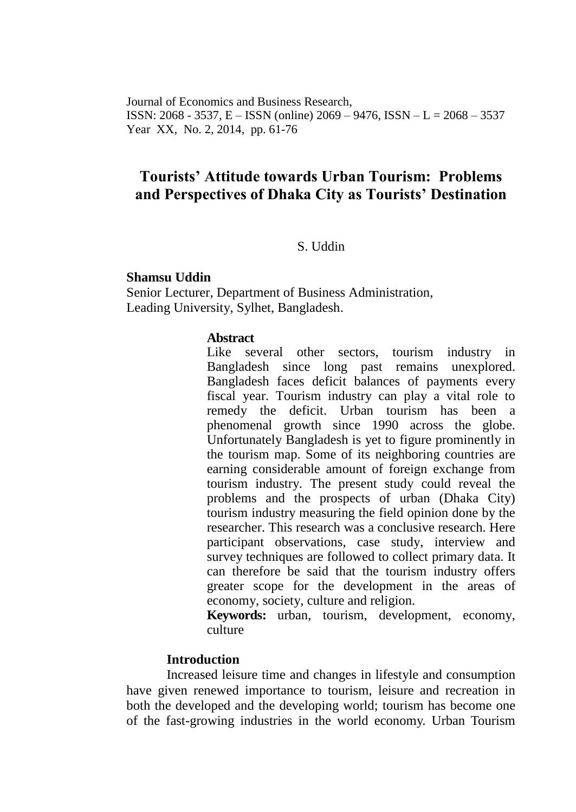Journal of Economics and Business Research, ISSN: 2068 - 3537, E – ISSN (online) 2069 – 9476, ISSN – L = 2068 – 3537 Year XX, No. 2, 2014, pp. 61-76

# **Tourists' Attitude towards Urban Tourism: Problems and Perspectives of Dhaka City as Tourists' Destination**

S. Uddin

### **Shamsu Uddin**

Senior Lecturer, Department of Business Administration, Leading University, Sylhet, Bangladesh.

#### **Abstract**

Like several other sectors, tourism industry in Bangladesh since long past remains unexplored. Bangladesh faces deficit balances of payments every fiscal year. Tourism industry can play a vital role to remedy the deficit. Urban tourism has been a phenomenal growth since 1990 across the globe. Unfortunately Bangladesh is yet to figure prominently in the tourism map. Some of its neighboring countries are earning considerable amount of foreign exchange from tourism industry. The present study could reveal the problems and the prospects of urban (Dhaka City) tourism industry measuring the field opinion done by the researcher. This research was a conclusive research. Here participant observations, case study, interview and survey techniques are followed to collect primary data. It can therefore be said that the tourism industry offers greater scope for the development in the areas of economy, society, culture and religion.

**Keywords:** urban, tourism, development, economy, culture

#### **Introduction**

Increased leisure time and changes in lifestyle and consumption have given renewed importance to tourism, leisure and recreation in both the developed and the developing world; tourism has become one of the fast-growing industries in the world economy. Urban Tourism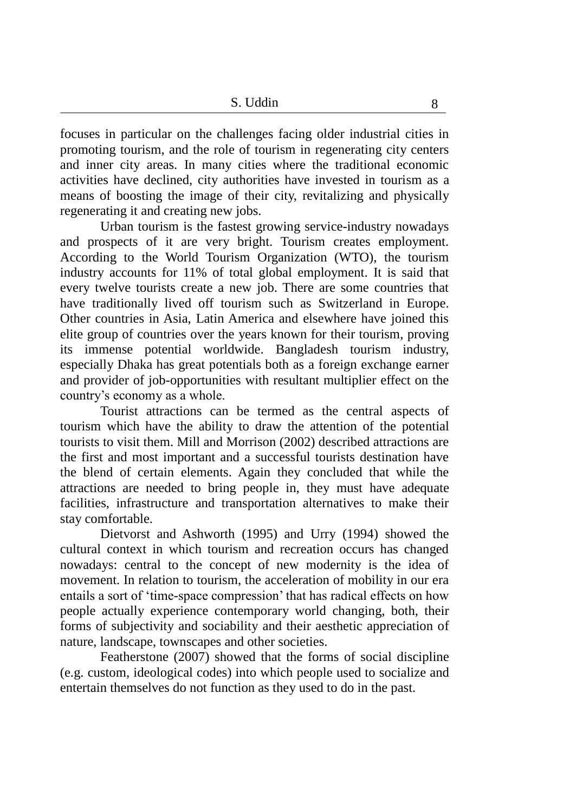focuses in particular on the challenges facing older industrial cities in promoting tourism, and the role of tourism in regenerating city centers and inner city areas. In many cities where the traditional economic activities have declined, city authorities have invested in tourism as a means of boosting the image of their city, revitalizing and physically regenerating it and creating new jobs.

Urban tourism is the fastest growing service-industry nowadays and prospects of it are very bright. Tourism creates employment. According to the World Tourism Organization (WTO), the tourism industry accounts for 11% of total global employment. It is said that every twelve tourists create a new job. There are some countries that have traditionally lived off tourism such as Switzerland in Europe. Other countries in Asia, Latin America and elsewhere have joined this elite group of countries over the years known for their tourism, proving its immense potential worldwide. Bangladesh tourism industry, especially Dhaka has great potentials both as a foreign exchange earner and provider of job-opportunities with resultant multiplier effect on the country's economy as a whole.

Tourist attractions can be termed as the central aspects of tourism which have the ability to draw the attention of the potential tourists to visit them. Mill and Morrison (2002) described attractions are the first and most important and a successful tourists destination have the blend of certain elements. Again they concluded that while the attractions are needed to bring people in, they must have adequate facilities, infrastructure and transportation alternatives to make their stay comfortable.

Dietvorst and Ashworth (1995) and Urry (1994) showed the cultural context in which tourism and recreation occurs has changed nowadays: central to the concept of new modernity is the idea of movement. In relation to tourism, the acceleration of mobility in our era entails a sort of 'time-space compression' that has radical effects on how people actually experience contemporary world changing, both, their forms of subjectivity and sociability and their aesthetic appreciation of nature, landscape, townscapes and other societies.

Featherstone (2007) showed that the forms of social discipline (e.g. custom, ideological codes) into which people used to socialize and entertain themselves do not function as they used to do in the past.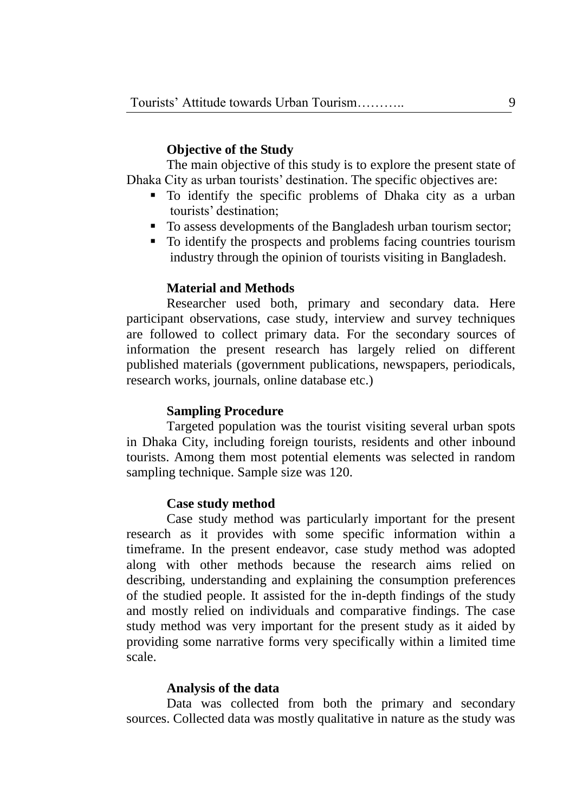### **Objective of the Study**

The main objective of this study is to explore the present state of Dhaka City as urban tourists' destination. The specific objectives are:

- To identify the specific problems of Dhaka city as a urban tourists' destination;
- To assess developments of the Bangladesh urban tourism sector;
- To identify the prospects and problems facing countries tourism industry through the opinion of tourists visiting in Bangladesh.

### **Material and Methods**

Researcher used both, primary and secondary data. Here participant observations, case study, interview and survey techniques are followed to collect primary data. For the secondary sources of information the present research has largely relied on different published materials (government publications, newspapers, periodicals, research works, journals, online database etc.)

#### **Sampling Procedure**

Targeted population was the tourist visiting several urban spots in Dhaka City, including foreign tourists, residents and other inbound tourists. Among them most potential elements was selected in random sampling technique. Sample size was 120.

#### **Case study method**

Case study method was particularly important for the present research as it provides with some specific information within a timeframe. In the present endeavor, case study method was adopted along with other methods because the research aims relied on describing, understanding and explaining the consumption preferences of the studied people. It assisted for the in-depth findings of the study and mostly relied on individuals and comparative findings. The case study method was very important for the present study as it aided by providing some narrative forms very specifically within a limited time scale.

#### **Analysis of the data**

Data was collected from both the primary and secondary sources. Collected data was mostly qualitative in nature as the study was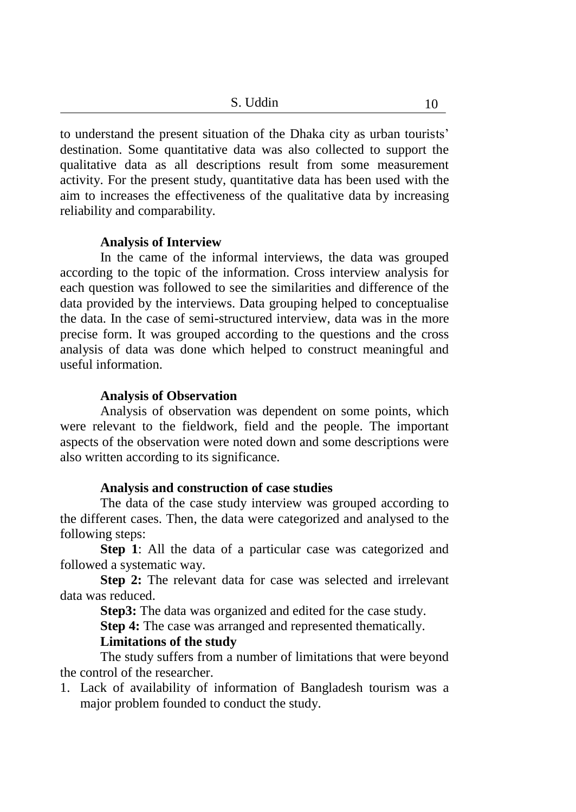10 S. Uddin 10

to understand the present situation of the Dhaka city as urban tourists' destination. Some quantitative data was also collected to support the qualitative data as all descriptions result from some measurement activity. For the present study, quantitative data has been used with the aim to increases the effectiveness of the qualitative data by increasing reliability and comparability.

### **Analysis of Interview**

In the came of the informal interviews, the data was grouped according to the topic of the information. Cross interview analysis for each question was followed to see the similarities and difference of the data provided by the interviews. Data grouping helped to conceptualise the data. In the case of semi-structured interview, data was in the more precise form. It was grouped according to the questions and the cross analysis of data was done which helped to construct meaningful and useful information.

### **Analysis of Observation**

Analysis of observation was dependent on some points, which were relevant to the fieldwork, field and the people. The important aspects of the observation were noted down and some descriptions were also written according to its significance.

#### **Analysis and construction of case studies**

The data of the case study interview was grouped according to the different cases. Then, the data were categorized and analysed to the following steps:

**Step 1**: All the data of a particular case was categorized and followed a systematic way.

**Step 2:** The relevant data for case was selected and irrelevant data was reduced.

**Step3:** The data was organized and edited for the case study.

**Step 4:** The case was arranged and represented thematically.

# **Limitations of the study**

The study suffers from a number of limitations that were beyond the control of the researcher.

1. Lack of availability of information of Bangladesh tourism was a major problem founded to conduct the study.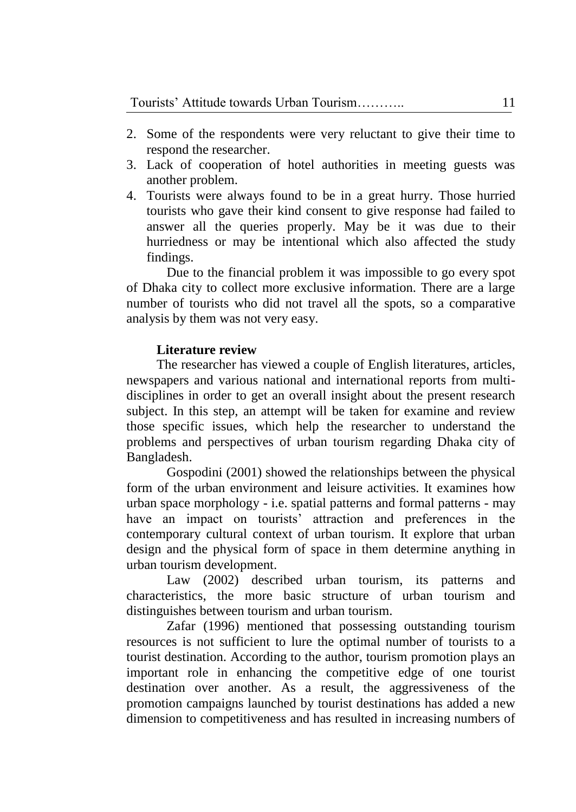- 2. Some of the respondents were very reluctant to give their time to respond the researcher.
- 3. Lack of cooperation of hotel authorities in meeting guests was another problem.
- 4. Tourists were always found to be in a great hurry. Those hurried tourists who gave their kind consent to give response had failed to answer all the queries properly. May be it was due to their hurriedness or may be intentional which also affected the study findings.

Due to the financial problem it was impossible to go every spot of Dhaka city to collect more exclusive information. There are a large number of tourists who did not travel all the spots, so a comparative analysis by them was not very easy.

# **Literature review**

The researcher has viewed a couple of English literatures, articles, newspapers and various national and international reports from multidisciplines in order to get an overall insight about the present research subject. In this step, an attempt will be taken for examine and review those specific issues, which help the researcher to understand the problems and perspectives of urban tourism regarding Dhaka city of Bangladesh.

Gospodini (2001) showed the relationships between the physical form of the urban environment and leisure activities. It examines how urban space morphology - i.e. spatial patterns and formal patterns - may have an impact on tourists' attraction and preferences in the contemporary cultural context of urban tourism. It explore that urban design and the physical form of space in them determine anything in urban tourism development.

Law (2002) described urban tourism, its patterns and characteristics, the more basic structure of urban tourism and distinguishes between tourism and urban tourism.

Zafar (1996) mentioned that possessing outstanding tourism resources is not sufficient to lure the optimal number of tourists to a tourist destination. According to the author, tourism promotion plays an important role in enhancing the competitive edge of one tourist destination over another. As a result, the aggressiveness of the promotion campaigns launched by tourist destinations has added a new dimension to competitiveness and has resulted in increasing numbers of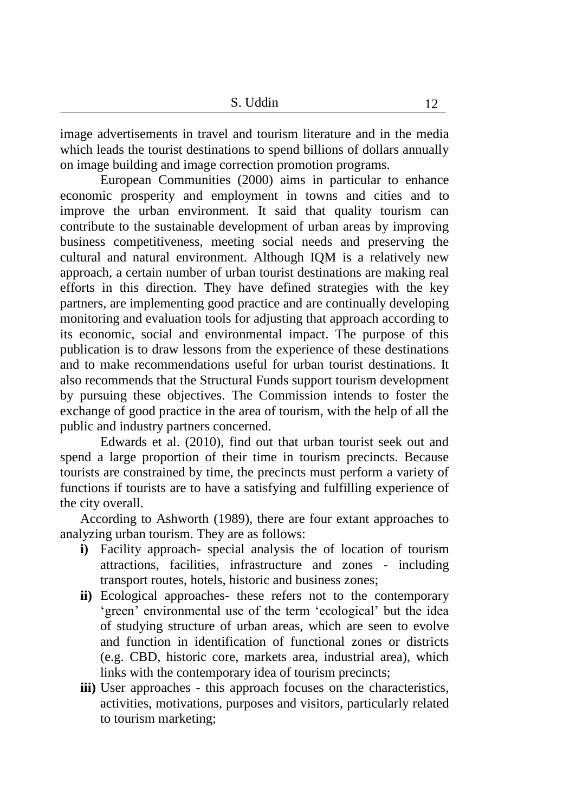image advertisements in travel and tourism literature and in the media which leads the tourist destinations to spend billions of dollars annually on image building and image correction promotion programs.

European Communities (2000) aims in particular to enhance economic prosperity and employment in towns and cities and to improve the urban environment. It said that quality tourism can contribute to the sustainable development of urban areas by improving business competitiveness, meeting social needs and preserving the cultural and natural environment. Although IQM is a relatively new approach, a certain number of urban tourist destinations are making real efforts in this direction. They have defined strategies with the key partners, are implementing good practice and are continually developing monitoring and evaluation tools for adjusting that approach according to its economic, social and environmental impact. The purpose of this publication is to draw lessons from the experience of these destinations and to make recommendations useful for urban tourist destinations. It also recommends that the Structural Funds support tourism development by pursuing these objectives. The Commission intends to foster the exchange of good practice in the area of tourism, with the help of all the public and industry partners concerned.

Edwards et al. (2010), find out that urban tourist seek out and spend a large proportion of their time in tourism precincts. Because tourists are constrained by time, the precincts must perform a variety of functions if tourists are to have a satisfying and fulfilling experience of the city overall.

According to Ashworth (1989), there are four extant approaches to analyzing urban tourism. They are as follows:

- **i)** Facility approach- special analysis the of location of tourism attractions, facilities, infrastructure and zones - including transport routes, hotels, historic and business zones;
- **ii)** Ecological approaches- these refers not to the contemporary 'green' environmental use of the term 'ecological' but the idea of studying structure of urban areas, which are seen to evolve and function in identification of functional zones or districts (e.g. CBD, historic core, markets area, industrial area), which links with the contemporary idea of tourism precincts;
- iii) User approaches this approach focuses on the characteristics, activities, motivations, purposes and visitors, particularly related to tourism marketing;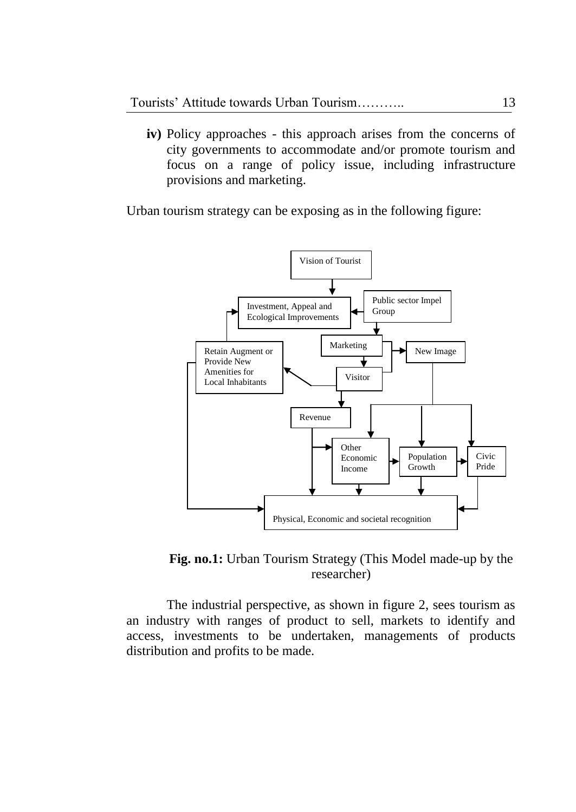**iv)** Policy approaches - this approach arises from the concerns of city governments to accommodate and/or promote tourism and focus on a range of policy issue, including infrastructure provisions and marketing.

Urban tourism strategy can be exposing as in the following figure:



**Fig. no.1:** Urban Tourism Strategy (This Model made-up by the researcher)

The industrial perspective, as shown in figure 2, sees tourism as an industry with ranges of product to sell, markets to identify and access, investments to be undertaken, managements of products distribution and profits to be made.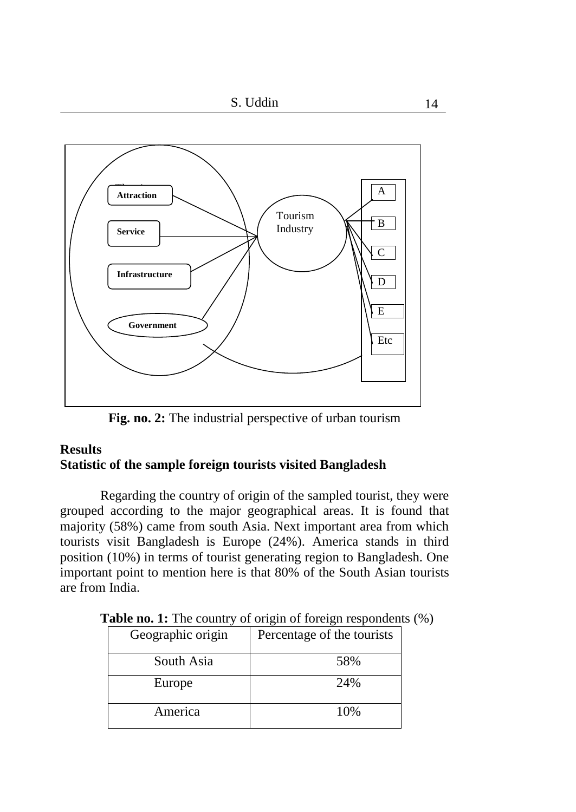

**Fig. no. 2:** The industrial perspective of urban tourism

# **Results Statistic of the sample foreign tourists visited Bangladesh**

Regarding the country of origin of the sampled tourist, they were grouped according to the major geographical areas. It is found that majority (58%) came from south Asia. Next important area from which tourists visit Bangladesh is Europe (24%). America stands in third position (10%) in terms of tourist generating region to Bangladesh. One important point to mention here is that 80% of the South Asian tourists are from India.

| Geographic origin | Percentage of the tourists |
|-------------------|----------------------------|
| South Asia        | 58%                        |
| Europe            | 24%                        |
| America           | 10%                        |

**Table no. 1:** The country of origin of foreign respondents  $(\%)$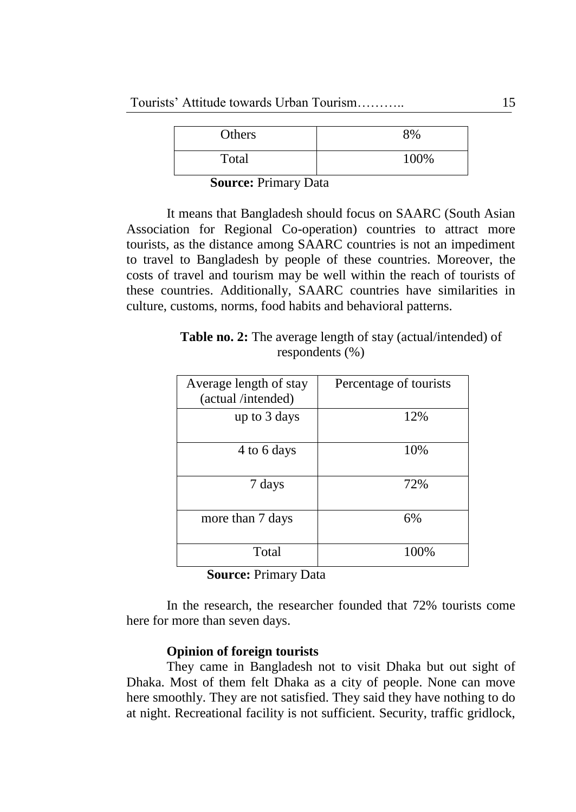| Others | 8%   |
|--------|------|
| Total  | 100% |

**Source:** Primary Data

It means that Bangladesh should focus on SAARC (South Asian Association for Regional Co-operation) countries to attract more tourists, as the distance among SAARC countries is not an impediment to travel to Bangladesh by people of these countries. Moreover, the costs of travel and tourism may be well within the reach of tourists of these countries. Additionally, SAARC countries have similarities in culture, customs, norms, food habits and behavioral patterns.

| <b>Table no. 2:</b> The average length of stay (actual/intended) of |  |
|---------------------------------------------------------------------|--|
| respondents $(\% )$                                                 |  |

| Average length of stay<br>(actual /intended) | Percentage of tourists |
|----------------------------------------------|------------------------|
| up to 3 days                                 | 12%                    |
| 4 to 6 days                                  | 10%                    |
| 7 days                                       | 72%                    |
| more than 7 days                             | 6%                     |
| Total                                        | 100%                   |

**Source:** Primary Data

In the research, the researcher founded that 72% tourists come here for more than seven days.

# **Opinion of foreign tourists**

They came in Bangladesh not to visit Dhaka but out sight of Dhaka. Most of them felt Dhaka as a city of people. None can move here smoothly. They are not satisfied. They said they have nothing to do at night. Recreational facility is not sufficient. Security, traffic gridlock,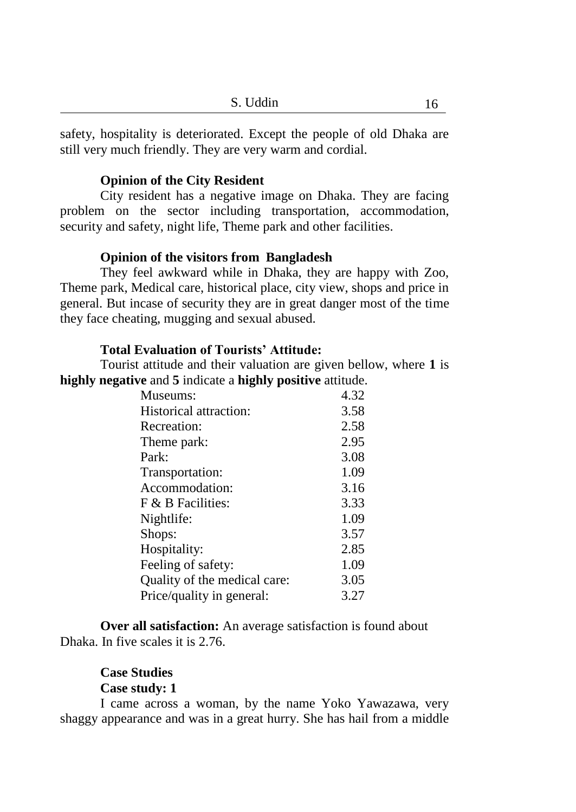safety, hospitality is deteriorated. Except the people of old Dhaka are still very much friendly. They are very warm and cordial.

### **Opinion of the City Resident**

City resident has a negative image on Dhaka. They are facing problem on the sector including transportation, accommodation, security and safety, night life, Theme park and other facilities.

#### **Opinion of the visitors from Bangladesh**

They feel awkward while in Dhaka, they are happy with Zoo, Theme park, Medical care, historical place, city view, shops and price in general. But incase of security they are in great danger most of the time they face cheating, mugging and sexual abused.

# **Total Evaluation of Tourists' Attitude:**

Tourist attitude and their valuation are given bellow, where **1** is **highly negative** and **5** indicate a **highly positive** attitude.

| Museums:                     | 4.32 |
|------------------------------|------|
| Historical attraction:       | 3.58 |
| Recreation:                  | 2.58 |
| Theme park:                  | 2.95 |
| Park:                        | 3.08 |
| Transportation:              | 1.09 |
| Accommodation:               | 3.16 |
| F & B Facilities:            | 3.33 |
| Nightlife:                   | 1.09 |
| Shops:                       | 3.57 |
| Hospitality:                 | 2.85 |
| Feeling of safety:           | 1.09 |
| Quality of the medical care: | 3.05 |
| Price/quality in general:    | 3.27 |

**Over all satisfaction:** An average satisfaction is found about Dhaka. In five scales it is 2.76.

# **Case Studies**

# **Case study: 1**

I came across a woman, by the name Yoko Yawazawa, very shaggy appearance and was in a great hurry. She has hail from a middle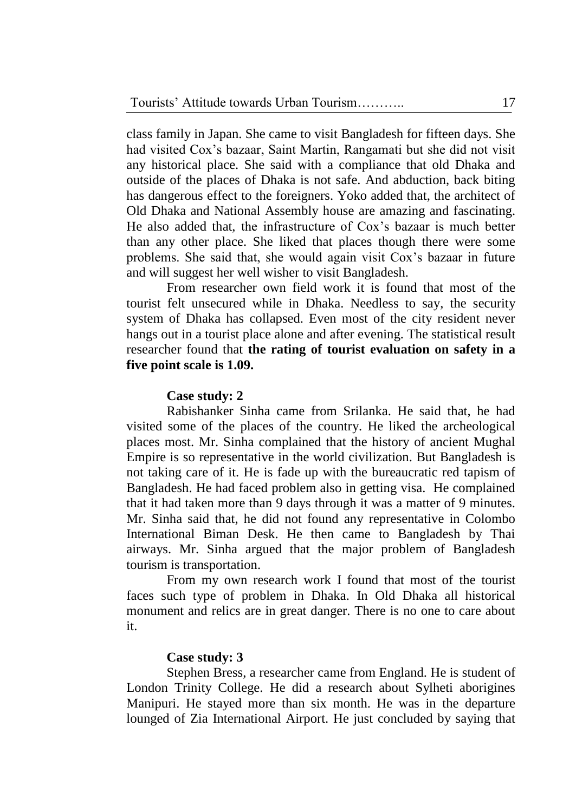class family in Japan. She came to visit Bangladesh for fifteen days. She had visited Cox's bazaar, Saint Martin, Rangamati but she did not visit any historical place. She said with a compliance that old Dhaka and outside of the places of Dhaka is not safe. And abduction, back biting has dangerous effect to the foreigners. Yoko added that, the architect of Old Dhaka and National Assembly house are amazing and fascinating. He also added that, the infrastructure of Cox's bazaar is much better than any other place. She liked that places though there were some problems. She said that, she would again visit Cox's bazaar in future and will suggest her well wisher to visit Bangladesh.

From researcher own field work it is found that most of the tourist felt unsecured while in Dhaka. Needless to say, the security system of Dhaka has collapsed. Even most of the city resident never hangs out in a tourist place alone and after evening. The statistical result researcher found that **the rating of tourist evaluation on safety in a five point scale is 1.09.**

### **Case study: 2**

Rabishanker Sinha came from Srilanka. He said that, he had visited some of the places of the country. He liked the archeological places most. Mr. Sinha complained that the history of ancient Mughal Empire is so representative in the world civilization. But Bangladesh is not taking care of it. He is fade up with the bureaucratic red tapism of Bangladesh. He had faced problem also in getting visa. He complained that it had taken more than 9 days through it was a matter of 9 minutes. Mr. Sinha said that, he did not found any representative in Colombo International Biman Desk. He then came to Bangladesh by Thai airways. Mr. Sinha argued that the major problem of Bangladesh tourism is transportation.

From my own research work I found that most of the tourist faces such type of problem in Dhaka. In Old Dhaka all historical monument and relics are in great danger. There is no one to care about it.

#### **Case study: 3**

Stephen Bress, a researcher came from England. He is student of London Trinity College. He did a research about Sylheti aborigines Manipuri. He stayed more than six month. He was in the departure lounged of Zia International Airport. He just concluded by saying that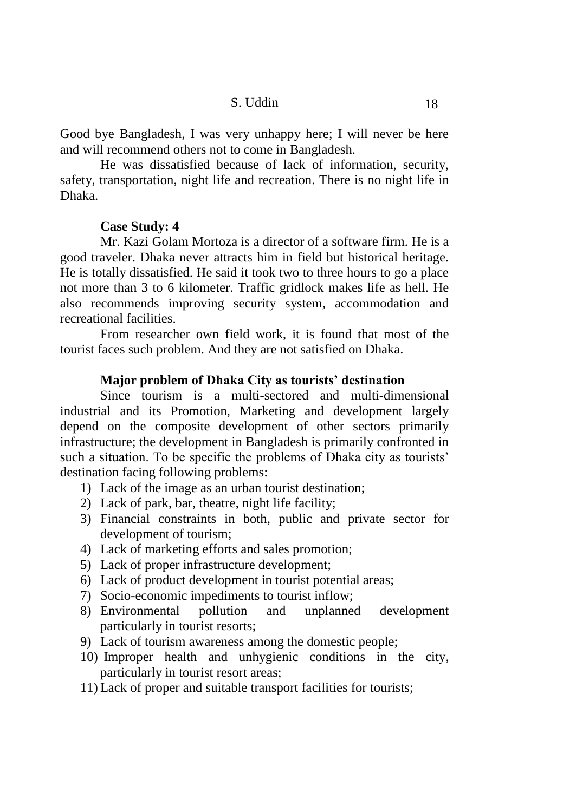Good bye Bangladesh, I was very unhappy here; I will never be here and will recommend others not to come in Bangladesh.

He was dissatisfied because of lack of information, security, safety, transportation, night life and recreation. There is no night life in Dhaka.

### **Case Study: 4**

Mr. Kazi Golam Mortoza is a director of a software firm. He is a good traveler. Dhaka never attracts him in field but historical heritage. He is totally dissatisfied. He said it took two to three hours to go a place not more than 3 to 6 kilometer. Traffic gridlock makes life as hell. He also recommends improving security system, accommodation and recreational facilities.

From researcher own field work, it is found that most of the tourist faces such problem. And they are not satisfied on Dhaka.

# **Major problem of Dhaka City as tourists' destination**

Since tourism is a multi-sectored and multi-dimensional industrial and its Promotion, Marketing and development largely depend on the composite development of other sectors primarily infrastructure; the development in Bangladesh is primarily confronted in such a situation. To be specific the problems of Dhaka city as tourists' destination facing following problems:

- 1) Lack of the image as an urban tourist destination;
- 2) Lack of park, bar, theatre, night life facility;
- 3) Financial constraints in both, public and private sector for development of tourism;
- 4) Lack of marketing efforts and sales promotion;
- 5) Lack of proper infrastructure development;
- 6) Lack of product development in tourist potential areas;
- 7) Socio-economic impediments to tourist inflow;
- 8) Environmental pollution and unplanned development particularly in tourist resorts;
- 9) Lack of tourism awareness among the domestic people;
- 10) Improper health and unhygienic conditions in the city, particularly in tourist resort areas;
- 11) Lack of proper and suitable transport facilities for tourists;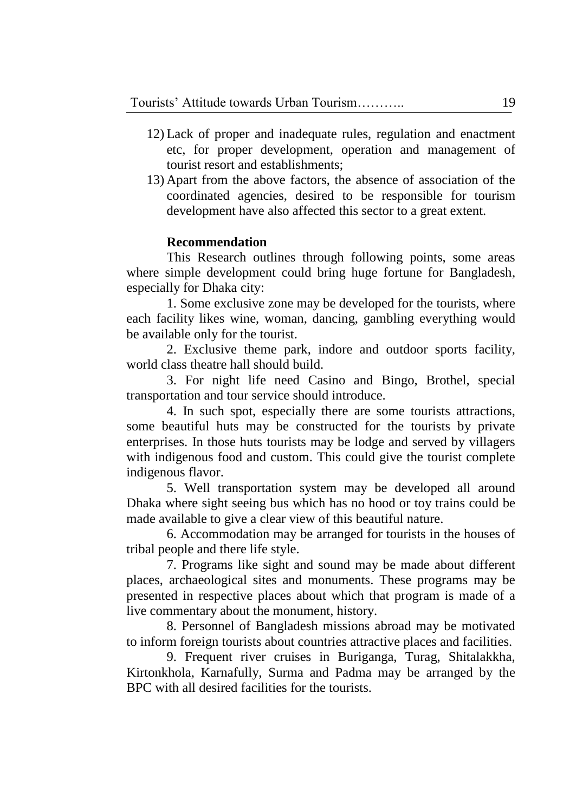- 12) Lack of proper and inadequate rules, regulation and enactment etc, for proper development, operation and management of tourist resort and establishments;
- 13) Apart from the above factors, the absence of association of the coordinated agencies, desired to be responsible for tourism development have also affected this sector to a great extent.

### **Recommendation**

This Research outlines through following points, some areas where simple development could bring huge fortune for Bangladesh, especially for Dhaka city:

1. Some exclusive zone may be developed for the tourists, where each facility likes wine, woman, dancing, gambling everything would be available only for the tourist.

2. Exclusive theme park, indore and outdoor sports facility, world class theatre hall should build.

3. For night life need Casino and Bingo, Brothel, special transportation and tour service should introduce.

4. In such spot, especially there are some tourists attractions, some beautiful huts may be constructed for the tourists by private enterprises. In those huts tourists may be lodge and served by villagers with indigenous food and custom. This could give the tourist complete indigenous flavor.

5. Well transportation system may be developed all around Dhaka where sight seeing bus which has no hood or toy trains could be made available to give a clear view of this beautiful nature.

6. Accommodation may be arranged for tourists in the houses of tribal people and there life style.

7. Programs like sight and sound may be made about different places, archaeological sites and monuments. These programs may be presented in respective places about which that program is made of a live commentary about the monument, history.

8. Personnel of Bangladesh missions abroad may be motivated to inform foreign tourists about countries attractive places and facilities.

9. Frequent river cruises in Buriganga, Turag, Shitalakkha, Kirtonkhola, Karnafully, Surma and Padma may be arranged by the BPC with all desired facilities for the tourists.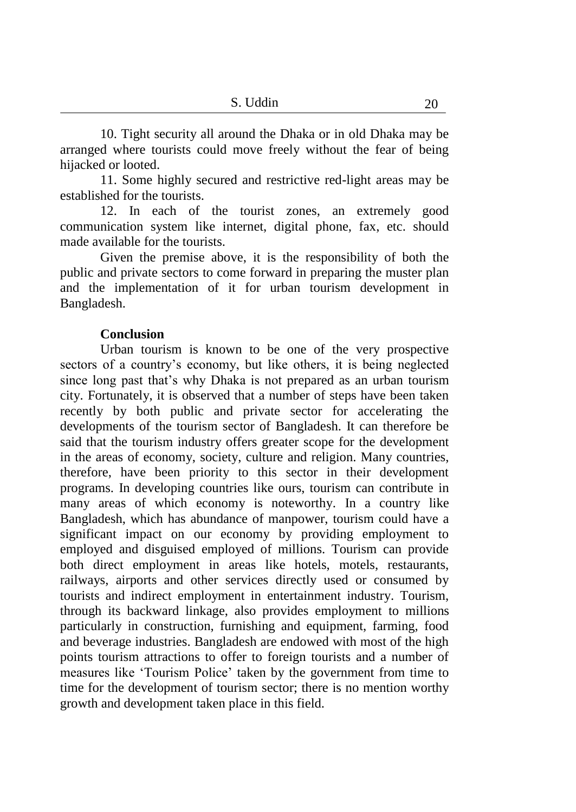10. Tight security all around the Dhaka or in old Dhaka may be arranged where tourists could move freely without the fear of being hijacked or looted.

11. Some highly secured and restrictive red-light areas may be established for the tourists.

12. In each of the tourist zones, an extremely good communication system like internet, digital phone, fax, etc. should made available for the tourists.

Given the premise above, it is the responsibility of both the public and private sectors to come forward in preparing the muster plan and the implementation of it for urban tourism development in Bangladesh.

### **Conclusion**

Urban tourism is known to be one of the very prospective sectors of a country's economy, but like others, it is being neglected since long past that's why Dhaka is not prepared as an urban tourism city. Fortunately, it is observed that a number of steps have been taken recently by both public and private sector for accelerating the developments of the tourism sector of Bangladesh. It can therefore be said that the tourism industry offers greater scope for the development in the areas of economy, society, culture and religion. Many countries, therefore, have been priority to this sector in their development programs. In developing countries like ours, tourism can contribute in many areas of which economy is noteworthy. In a country like Bangladesh, which has abundance of manpower, tourism could have a significant impact on our economy by providing employment to employed and disguised employed of millions. Tourism can provide both direct employment in areas like hotels, motels, restaurants, railways, airports and other services directly used or consumed by tourists and indirect employment in entertainment industry. Tourism, through its backward linkage, also provides employment to millions particularly in construction, furnishing and equipment, farming, food and beverage industries. Bangladesh are endowed with most of the high points tourism attractions to offer to foreign tourists and a number of measures like 'Tourism Police' taken by the government from time to time for the development of tourism sector; there is no mention worthy growth and development taken place in this field.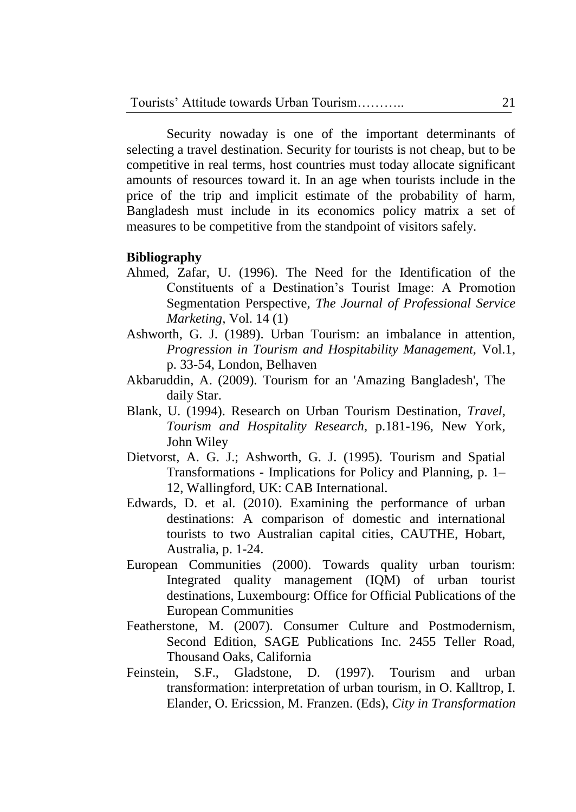Security nowaday is one of the important determinants of selecting a travel destination. Security for tourists is not cheap, but to be competitive in real terms, host countries must today allocate significant amounts of resources toward it. In an age when tourists include in the price of the trip and implicit estimate of the probability of harm, Bangladesh must include in its economics policy matrix a set of measures to be competitive from the standpoint of visitors safely.

### **Bibliography**

- Ahmed, Zafar, U. (1996). The Need for the Identification of the Constituents of a Destination's Tourist Image: A Promotion Segmentation Perspective, *The Journal of Professional Service Marketing,* Vol. 14 (1)
- Ashworth, G. J. (1989). Urban Tourism: an imbalance in attention, *Progression in Tourism and Hospitability Management,* Vol.1, p. 33-54, London, Belhaven
- Akbaruddin, A. (2009). [Tourism for an 'Amazing Bangladesh',](http://www.thefinancialexpress-bd.com/2009/06/29/33.html) The daily Star.
- Blank, U. (1994). Research on Urban Tourism Destination, *Travel, Tourism and Hospitality Research,* p.181-196, New York, John Wiley
- Dietvorst, A. G. J.; Ashworth, G. J. (1995). Tourism and Spatial Transformations - Implications for Policy and Planning, p. 1– 12, Wallingford, UK: CAB International.
- Edwards, D. et al. (2010). Examining the performance of urban destinations: A comparison of domestic and international tourists to two Australian capital cities, CAUTHE, Hobart, Australia, p. 1-24.
- European Communities (2000). Towards quality urban tourism: Integrated quality management (IQM) of urban tourist destinations, Luxembourg: Office for Official Publications of the European Communities
- Featherstone, M. (2007). Consumer Culture and Postmodernism, Second Edition, SAGE Publications Inc. 2455 Teller Road, Thousand Oaks, California
- Feinstein, S.F., Gladstone, D. (1997). Tourism and urban transformation: interpretation of urban tourism, in O. Kalltrop, I. Elander, O. Ericssion, M. Franzen. (Eds), *City in Transformation*